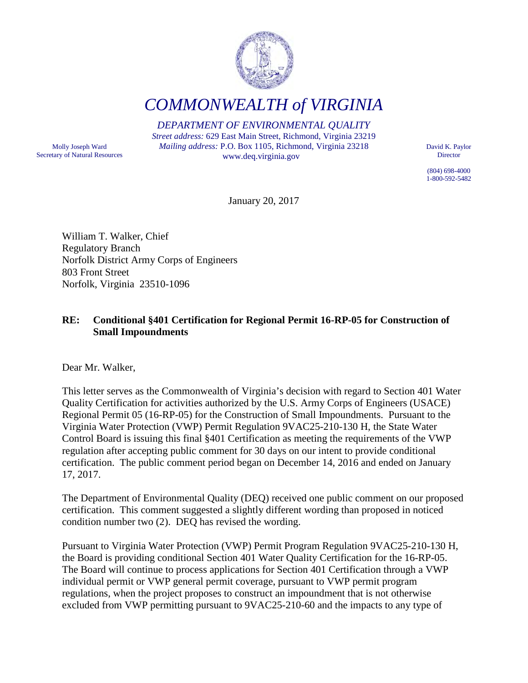

*COMMONWEALTH of VIRGINIA*

*DEPARTMENT OF ENVIRONMENTAL QUALITY Street address:* 629 East Main Street, Richmond, Virginia 23219 *Mailing address:* P.O. Box 1105, Richmond, Virginia 23218

Molly Joseph Ward Secretary of Natural Resources www.deq.virginia.gov

David K. Paylor Director

(804) 698-4000 1-800-592-5482

January 20, 2017

William T. Walker, Chief Regulatory Branch Norfolk District Army Corps of Engineers 803 Front Street Norfolk, Virginia 23510-1096

## **RE: Conditional §401 Certification for Regional Permit 16-RP-05 for Construction of Small Impoundments**

Dear Mr. Walker,

This letter serves as the Commonwealth of Virginia's decision with regard to Section 401 Water Quality Certification for activities authorized by the U.S. Army Corps of Engineers (USACE) Regional Permit 05 (16-RP-05) for the Construction of Small Impoundments. Pursuant to the Virginia Water Protection (VWP) Permit Regulation 9VAC25-210-130 H, the State Water Control Board is issuing this final §401 Certification as meeting the requirements of the VWP regulation after accepting public comment for 30 days on our intent to provide conditional certification. The public comment period began on December 14, 2016 and ended on January 17, 2017.

The Department of Environmental Quality (DEQ) received one public comment on our proposed certification. This comment suggested a slightly different wording than proposed in noticed condition number two (2). DEQ has revised the wording.

Pursuant to Virginia Water Protection (VWP) Permit Program Regulation 9VAC25-210-130 H, the Board is providing conditional Section 401 Water Quality Certification for the 16-RP-05. The Board will continue to process applications for Section 401 Certification through a VWP individual permit or VWP general permit coverage, pursuant to VWP permit program regulations, when the project proposes to construct an impoundment that is not otherwise excluded from VWP permitting pursuant to 9VAC25-210-60 and the impacts to any type of